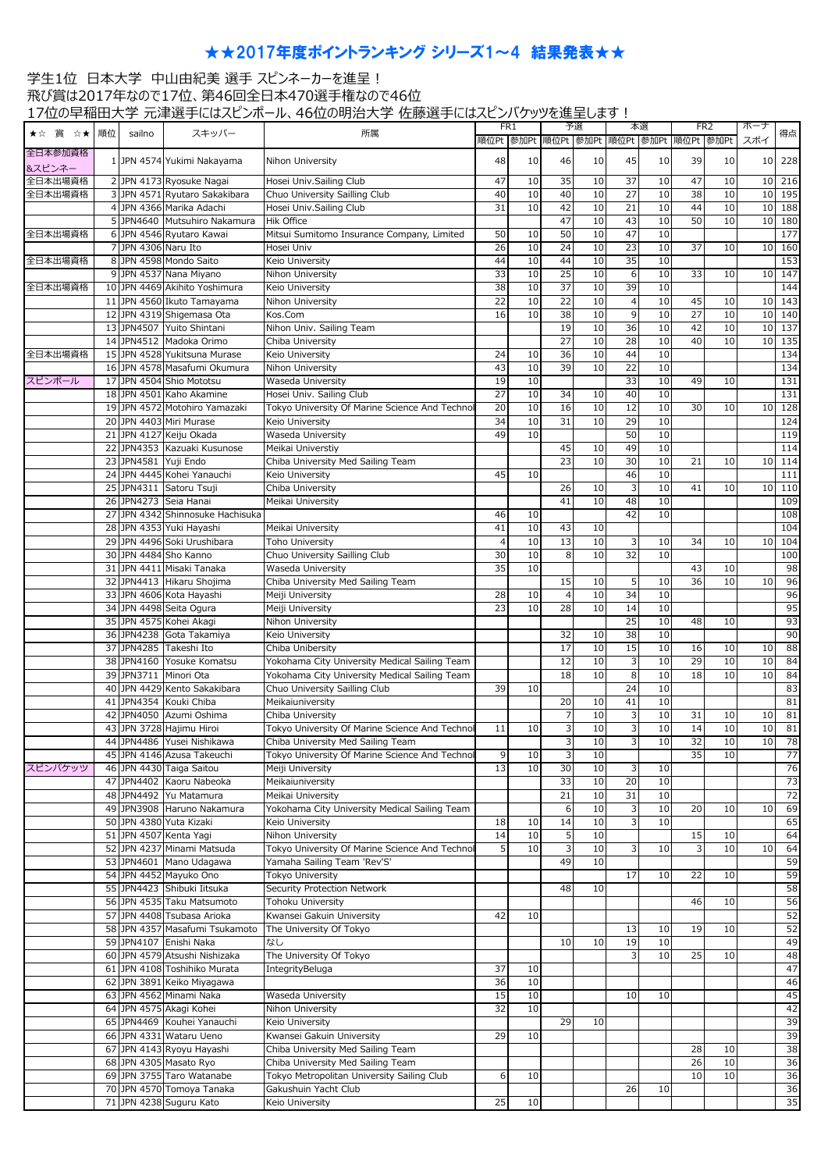## ★★2017年度ポイントランキング シリーズ1~4 結果発表★★

## 学生1位 日本大学 中山由紀美 選手 スピンネーカーを進呈! 飛び賞は2017年なので17位、第46回全日本470選手権なので46位 17位の早稲田大学 元津選手にはスピンポール、46位の明治大学 佐藤選手にはスピンバケッツを進呈します!

|         |    |                      | $\sim$                           | $\frac{1}{2}$                                  | FR <sub>1</sub> |    | 予選             |    | 本選                                 |      | FR <sub>2</sub> |      | ボーナ             |     |
|---------|----|----------------------|----------------------------------|------------------------------------------------|-----------------|----|----------------|----|------------------------------------|------|-----------------|------|-----------------|-----|
| ★☆ 賞 ☆★ | 順位 | sailno               | スキッパー                            | 所属                                             |                 |    |                |    |                                    |      |                 |      |                 | 得点  |
|         |    |                      |                                  |                                                |                 |    |                |    | 順位Pt 参加Pt 順位Pt 参加Pt 順位Pt 参加Pt 順位Pt |      |                 | 参加Pt | スポイ             |     |
| 全日本参加資格 |    |                      |                                  |                                                |                 |    |                |    |                                    |      |                 |      |                 |     |
| 8スピンネー  |    |                      | 1 JPN 4574 Yukimi Nakayama       | Nihon University                               | 48              | 10 | 46             | 10 | 45                                 | 10   | 39              | 10   | 10 <sup>1</sup> | 228 |
| 全日本出場資格 |    |                      | 2 JPN 4173 Ryosuke Nagai         | Hosei Univ.Sailing Club                        | 47              | 10 | 35             | 10 | 37                                 | 10   | 47              | 10   | 10 <sup>1</sup> | 216 |
|         |    |                      |                                  |                                                |                 |    |                |    |                                    |      |                 |      |                 |     |
| 全日本出場資格 |    |                      | 3 JPN 4571 Ryutaro Sakakibara    | Chuo University Sailling Club                  | 40              | 10 | 40             | 10 | $\overline{27}$                    | 10   | 38              | 10   | 10              | 195 |
|         |    |                      | 4 JPN 4366 Marika Adachi         | Hosei Univ.Sailing Club                        | 31              | 10 | 42             | 10 | $\overline{21}$                    | 10   | 44              | 10   | 10              | 188 |
|         |    |                      | 5 JPN4640 Mutsuhiro Nakamura     | <b>Hik Office</b>                              |                 |    | 47             | 10 | 43                                 | 10   | 50              | 10   | 10              | 180 |
| 全日本出場資格 |    |                      | 6 JPN 4546 Ryutaro Kawai         | Mitsui Sumitomo Insurance Company, Limited     | 50              | 10 | 50             | 10 | 47                                 | 10   |                 |      |                 | 177 |
|         |    |                      |                                  |                                                |                 |    |                |    |                                    |      |                 |      |                 |     |
|         |    | 7 JPN 4306 Naru Ito  |                                  | Hosei Univ                                     | 26              | 10 | 24             | 10 | 23                                 | 10   | 37              | 10   | 10              | 160 |
| 全日本出場資格 |    |                      | 8 JPN 4598 Mondo Saito           | Keio University                                | 44              | 10 | 44             | 10 | 35                                 | 10   |                 |      |                 | 153 |
|         |    |                      | 9 JPN 4537 Nana Miyano           | Nihon University                               | 33              | 10 | 25             | 10 | 6                                  | 10   | 33              | 10   | 10 <sup>1</sup> | 147 |
| 全日本出場資格 |    |                      | 10 JPN 4469 Akihito Yoshimura    | Keio University                                | 38              | 10 | 37             | 10 | 39                                 | 10   |                 |      |                 | 144 |
|         |    |                      |                                  |                                                |                 |    |                |    |                                    |      |                 |      |                 |     |
|         |    |                      | 11 JPN 4560 Ikuto Tamayama       | Nihon University                               | 22              | 10 | 22             | 10 | $\overline{4}$                     | 10   | 45              | 10   | 10 <sup>1</sup> | 143 |
|         |    |                      | 12 JPN 4319 Shigemasa Ota        | Kos.Com                                        | 16              | 10 | 38             | 10 | $\overline{9}$                     | 10   | $\overline{27}$ | 10   | 10 <sup>1</sup> | 140 |
|         |    |                      | 13 JPN4507 Yuito Shintani        | Nihon Univ. Sailing Team                       |                 |    | 19             | 10 | 36                                 | 10   | 42              | 10   | 10 <sup>1</sup> | 137 |
|         |    |                      | 14 JPN4512 Madoka Orimo          | Chiba University                               |                 |    | 27             | 10 | 28                                 | 10   | 40              | 10   | 10 <sup>1</sup> | 135 |
| 全日本出場資格 |    |                      | 15 JPN 4528 Yukitsuna Murase     | Keio University                                | 24              | 10 | 36             | 10 | 44                                 | 10   |                 |      |                 | 134 |
|         |    |                      |                                  |                                                |                 |    |                |    |                                    |      |                 |      |                 |     |
|         |    |                      | 16 JPN 4578 Masafumi Okumura     | Nihon University                               | 43              | 10 | 39             | 10 | $\overline{22}$                    | 10   |                 |      |                 | 134 |
| スピンポール  |    |                      | 17 JPN 4504 Shio Mototsu         | Waseda University                              | 19              | 10 |                |    | 33                                 | 10   | 49              | 10   |                 | 131 |
|         |    |                      | 18 JPN 4501 Kaho Akamine         | Hosei Univ. Sailing Club                       | 27              | 10 | 34             | 10 | 40                                 | 10   |                 |      |                 | 131 |
|         |    |                      | 19 JPN 4572 Motohiro Yamazaki    | Tokyo University Of Marine Science And Techno  | 20              | 10 | 16             | 10 | 12                                 | 10   | 30              | 10   | 10              | 128 |
|         |    |                      |                                  |                                                |                 |    |                |    |                                    |      |                 |      |                 |     |
|         |    |                      | 20 JPN 4403 Miri Murase          | Keio University                                | 34              | 10 | 31             | 10 | 29                                 | 10   |                 |      |                 | 124 |
|         |    |                      | 21 JPN 4127 Keiju Okada          | Waseda University                              | 49              | 10 |                |    | 50                                 | 10   |                 |      |                 | 119 |
|         |    |                      | 22 JPN4353 Kazuaki Kusunose      | Meikai Universtiy                              |                 |    | 45             | 10 | 49                                 | 10   |                 |      |                 | 114 |
|         |    | 23 JPN4581 Yuji Endo |                                  | Chiba University Med Sailing Team              |                 |    | 23             | 10 | 30                                 | 10   | 21              | 10   | 10 <sup>1</sup> | 114 |
|         |    |                      |                                  |                                                |                 |    |                |    |                                    |      |                 |      |                 |     |
|         |    |                      | 24 JPN 4445 Kohei Yanauchi       | Keio University                                | 45              | 10 |                |    | 46                                 | 10   |                 |      |                 | 111 |
|         |    |                      | 25 JPN4311 Satoru Tsuji          | Chiba University                               |                 |    | 26             | 10 | 3                                  | 10   | 41              | 10   | 10              | 110 |
|         |    |                      | 26 JPN4273 Seia Hanai            | Meikai University                              |                 |    | 41             | 10 | 48                                 | 10   |                 |      |                 | 109 |
|         |    |                      | 27 JPN 4342 Shinnosuke Hachisuka |                                                | 46              | 10 |                |    | 42                                 | 10   |                 |      |                 | 108 |
|         |    |                      |                                  |                                                |                 |    |                |    |                                    |      |                 |      |                 |     |
|         |    |                      | 28 JPN 4353 Yuki Hayashi         | Meikai University                              | 41              | 10 | 43             | 10 |                                    |      |                 |      |                 | 104 |
|         |    |                      | 29 JPN 4496 Soki Urushibara      | <b>Toho University</b>                         | $\overline{4}$  | 10 | 13             | 10 | 3                                  | 10   | 34              | 10   | 10              | 104 |
|         |    |                      | 30 JPN 4484 Sho Kanno            | Chuo University Sailling Club                  | 30              | 10 | 8              | 10 | 32                                 | 10   |                 |      |                 | 100 |
|         |    |                      | 31 JPN 4411 Misaki Tanaka        | Waseda University                              | 35              | 10 |                |    |                                    |      | 43              | 10   |                 | 98  |
|         |    |                      |                                  |                                                |                 |    |                |    |                                    |      |                 |      |                 |     |
|         |    |                      | 32 JPN4413 Hikaru Shojima        | Chiba University Med Sailing Team              |                 |    | 15             | 10 | 5                                  | 10   | 36              | 10   | 10              | 96  |
|         |    |                      | 33 JPN 4606 Kota Hayashi         | Meiji University                               | 28              | 10 | $\overline{4}$ | 10 | 34                                 | 10   |                 |      |                 | 96  |
|         |    |                      | 34 JPN 4498 Seita Ogura          | Meiji University                               | 23              | 10 | 28             | 10 | 14                                 | 10   |                 |      |                 | 95  |
|         |    |                      | 35 JPN 4575 Kohei Akagi          | Nihon University                               |                 |    |                |    | 25                                 | 10   | 48              | 10   |                 | 93  |
|         |    |                      |                                  |                                                |                 |    |                |    |                                    |      |                 |      |                 |     |
|         |    |                      | 36 JPN4238 Gota Takamiya         | Keio University                                |                 |    | 32             | 10 | 38                                 | 10   |                 |      |                 | 90  |
|         |    |                      | 37 JPN4285 Takeshi Ito           | Chiba Unibersity                               |                 |    | 17             | 10 | 15                                 | 10   | 16              | 10   | 10              | 88  |
|         |    |                      | 38 JPN4160 Yosuke Komatsu        | Yokohama City University Medical Sailing Team  |                 |    | 12             | 10 | ω                                  | 10   | 29              | 10   | 10              | 84  |
|         |    |                      | 39 JPN3711 Minori Ota            | Yokohama City University Medical Sailing Team  |                 |    | 18             | 10 | 8                                  | 10   | 18              | 10   | 10              | 84  |
|         |    |                      |                                  |                                                |                 |    |                |    |                                    |      |                 |      |                 |     |
|         |    |                      | 40 JPN 4429 Kento Sakakibara     | Chuo University Sailling Club                  | 39              | 10 |                |    | 24                                 | 10   |                 |      |                 | 83  |
|         |    |                      | 41 JPN4354 Kouki Chiba           | Meikaiuniversity                               |                 |    | 20             | 10 | 41                                 | 10   |                 |      |                 | 81  |
|         |    |                      | 42 JPN4050 Azumi Oshima          | Chiba University                               |                 |    | $\overline{7}$ | 10 | 3                                  | 10   | 31              | 10   | 10              | 81  |
|         |    |                      | 43 JPN 3728 Hajimu Hiroi         | Tokyo University Of Marine Science And Technol | 11              | 10 | 3              | 10 | 3                                  | 10   | 14              | 10   | 10              | 81  |
|         |    |                      |                                  |                                                |                 |    |                | 10 |                                    |      | 32              |      |                 |     |
|         |    |                      | 44 JPN4486 Yusei Nishikawa       | Chiba University Med Sailing Team              |                 |    | $\overline{3}$ |    | $\overline{3}$                     | $10$ |                 | $10$ | 10              | 78  |
|         |    |                      | 45 JPN 4146 Azusa Takeuchi       | Tokyo University Of Marine Science And Techno  | 9               | 10 | 3              | 10 |                                    |      | 35              | 10   |                 | 77  |
| スピンバケッツ |    |                      | 46 JPN 4430 Taiga Saitou         | Meiji University                               | 13              | 10 | 30             | 10 | 3                                  | 10   |                 |      |                 | 76  |
|         |    |                      | 47 JPN4402 Kaoru Nabeoka         | Meikaiuniversity                               |                 |    | 33             | 10 | 20                                 | 10   |                 |      |                 | 73  |
|         |    |                      | 48 JPN4492 Yu Matamura           | Meikai University                              |                 |    | 21             | 10 | 31                                 | 10   |                 |      |                 | 72  |
|         |    |                      |                                  |                                                |                 |    |                |    |                                    |      |                 |      |                 |     |
|         |    |                      | 49 JPN3908 Haruno Nakamura       | Yokohama City University Medical Sailing Team  |                 |    | 6              | 10 | $\mathbf{3}$                       | 10   | 20              | 10   | 10              | 69  |
|         |    |                      | 50 JPN 4380 Yuta Kizaki          | Keio University                                | 18              | 10 | 14             | 10 | 3                                  | 10   |                 |      |                 | 65  |
|         |    |                      | 51 JPN 4507 Kenta Yagi           | Nihon University                               | 14              | 10 | 5              | 10 |                                    |      | 15              | 10   |                 | 64  |
|         |    |                      | 52 JPN 4237 Minami Matsuda       | Tokyo University Of Marine Science And Techno  | 5               | 10 | 3              | 10 | $\overline{3}$                     | 10   | 3               | 10   | 10              | 64  |
|         |    |                      |                                  |                                                |                 |    |                |    |                                    |      |                 |      |                 |     |
|         |    |                      | 53 JPN4601 Mano Udagawa          | Yamaha Sailing Team 'Rev'S'                    |                 |    | 49             | 10 |                                    |      |                 |      |                 | 59  |
|         |    |                      | 54 JPN 4452 Mayuko Ono           | <b>Tokyo University</b>                        |                 |    |                |    | 17                                 | 10   | 22              | 10   |                 | 59  |
|         |    |                      | 55 JPN4423 Shibuki Iitsuka       | Security Protection Network                    |                 |    | 48             | 10 |                                    |      |                 |      |                 | 58  |
|         |    |                      | 56 JPN 4535 Taku Matsumoto       | Tohoku University                              |                 |    |                |    |                                    |      | 46              | 10   |                 | 56  |
|         |    |                      | 57 JPN 4408 Tsubasa Arioka       |                                                |                 |    |                |    |                                    |      |                 |      |                 |     |
|         |    |                      |                                  | Kwansei Gakuin University                      | 42              | 10 |                |    |                                    |      |                 |      |                 | 52  |
|         |    |                      | 58 JPN 4357 Masafumi Tsukamoto   | The University Of Tokyo                        |                 |    |                |    | 13                                 | 10   | 19              | 10   |                 | 52  |
|         |    |                      | 59 JPN4107 Enishi Naka           | なし                                             |                 |    | 10             | 10 | 19                                 | 10   |                 |      |                 | 49  |
|         |    |                      | 60 JPN 4579 Atsushi Nishizaka    | The University Of Tokyo                        |                 |    |                |    | 3                                  | 10   | 25              | 10   |                 | 48  |
|         |    |                      | 61 JPN 4108 Toshihiko Murata     | <b>IntegrityBeluga</b>                         | 37              | 10 |                |    |                                    |      |                 |      |                 | 47  |
|         |    |                      |                                  |                                                |                 |    |                |    |                                    |      |                 |      |                 |     |
|         |    |                      | 62 JPN 3891 Keiko Miyagawa       |                                                | 36              | 10 |                |    |                                    |      |                 |      |                 | 46  |
|         |    |                      | 63 JPN 4562 Minami Naka          | Waseda University                              | 15              | 10 |                |    | 10                                 | 10   |                 |      |                 | 45  |
|         |    |                      | 64 JPN 4575 Akagi Kohei          | Nihon University                               | 32              | 10 |                |    |                                    |      |                 |      |                 | 42  |
|         |    |                      | 65 JPN4469 Kouhei Yanauchi       | Keio University                                |                 |    | 29             | 10 |                                    |      |                 |      |                 | 39  |
|         |    |                      |                                  |                                                |                 |    |                |    |                                    |      |                 |      |                 |     |
|         |    |                      | 66 JPN 4331 Wataru Ueno          | Kwansei Gakuin University                      | 29              | 10 |                |    |                                    |      |                 |      |                 | 39  |
|         |    |                      | 67 JPN 4143 Ryoyu Hayashi        | Chiba University Med Sailing Team              |                 |    |                |    |                                    |      | 28              | 10   |                 | 38  |
|         |    |                      | 68 JPN 4305 Masato Ryo           | Chiba University Med Sailing Team              |                 |    |                |    |                                    |      | 26              | 10   |                 | 36  |
|         |    |                      | 69 JPN 3755 Taro Watanabe        | Tokyo Metropolitan University Sailing Club     | 6               | 10 |                |    |                                    |      | 10              | 10   |                 | 36  |
|         |    |                      | 70 JPN 4570 Tomoya Tanaka        |                                                |                 |    |                |    | 26                                 |      |                 |      |                 |     |
|         |    |                      |                                  | Gakushuin Yacht Club                           |                 |    |                |    |                                    | 10   |                 |      |                 | 36  |
|         |    |                      | 71 JPN 4238 Suguru Kato          | Keio University                                | 25              | 10 |                |    |                                    |      |                 |      |                 | 35  |